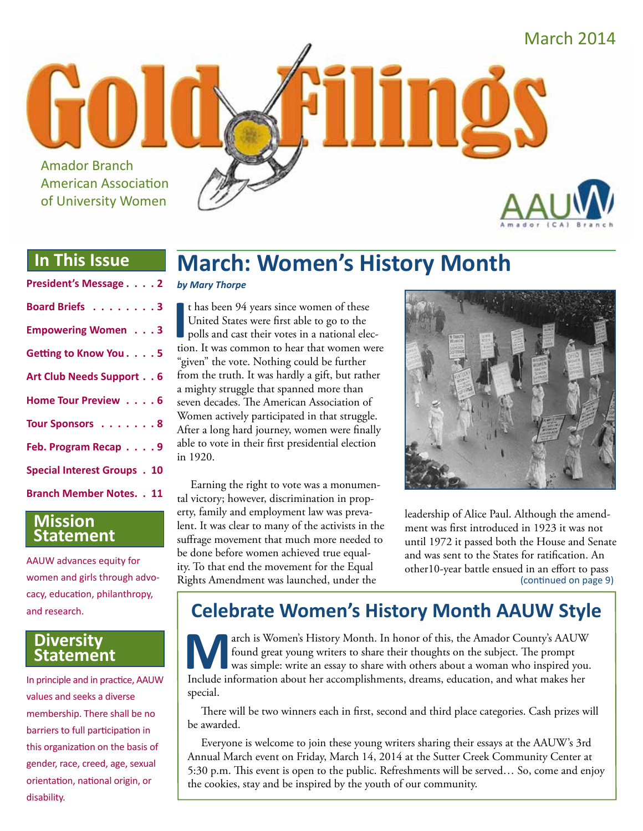

## **In This Issue**

| President's Message 2               |
|-------------------------------------|
| Board Briefs 3                      |
| <b>Empowering Women</b> 3           |
| Getting to Know You. 5              |
| Art Club Needs Support 6            |
| Home Tour Preview 6                 |
| Tour Sponsors 8                     |
| Feb. Program Recap 9                |
| <b>Special Interest Groups . 10</b> |
| <b>Branch Member Notes. . 11</b>    |

### **Mission Statement**

AAUW advances equity for women and girls through advocacy, education, philanthropy, and research.

#### **Diversity Statement**

In principle and in practice, AAUW values and seeks a diverse membership. There shall be no barriers to full participation in this organization on the basis of gender, race, creed, age, sexual orientation, national origin, or disability.

## **March: Women's History Month**

#### *by Mary Thorpe*

It has been 94 years since women of these<br>United States were first able to go to the<br>polls and cast their votes in a national elec-<br>tion. It was common to hear that women were t has been 94 years since women of these United States were first able to go to the polls and cast their votes in a national elec-"given" the vote. Nothing could be further from the truth. It was hardly a gift, but rather a mighty struggle that spanned more than seven decades. The American Association of Women actively participated in that struggle. After a long hard journey, women were finally able to vote in their first presidential election in 1920.

Earning the right to vote was a monumental victory; however, discrimination in property, family and employment law was prevalent. It was clear to many of the activists in the suffrage movement that much more needed to be done before women achieved true equality. To that end the movement for the Equal Rights Amendment was launched, under the



leadership of Alice Paul. Although the amendment was first introduced in 1923 it was not until 1972 it passed both the House and Senate and was sent to the States for ratification. An other10-year battle ensued in an effort to pass (continued on page 9)

## **Celebrate Women's History Month AAUW Style**

**March is Women's History Month. In honor of this, the Amador County's AAUW**<br>found great young writers to share their thoughts on the subject. The prompt<br>was simple: write an essay to share with others about a woman who in found great young writers to share their thoughts on the subject. The prompt was simple: write an essay to share with others about a woman who inspired you. Include information about her accomplishments, dreams, education, and what makes her special.

There will be two winners each in first, second and third place categories. Cash prizes will be awarded.

Everyone is welcome to join these young writers sharing their essays at the AAUW's 3rd Annual March event on Friday, March 14, 2014 at the Sutter Creek Community Center at 5:30 p.m. This event is open to the public. Refreshments will be served… So, come and enjoy the cookies, stay and be inspired by the youth of our community.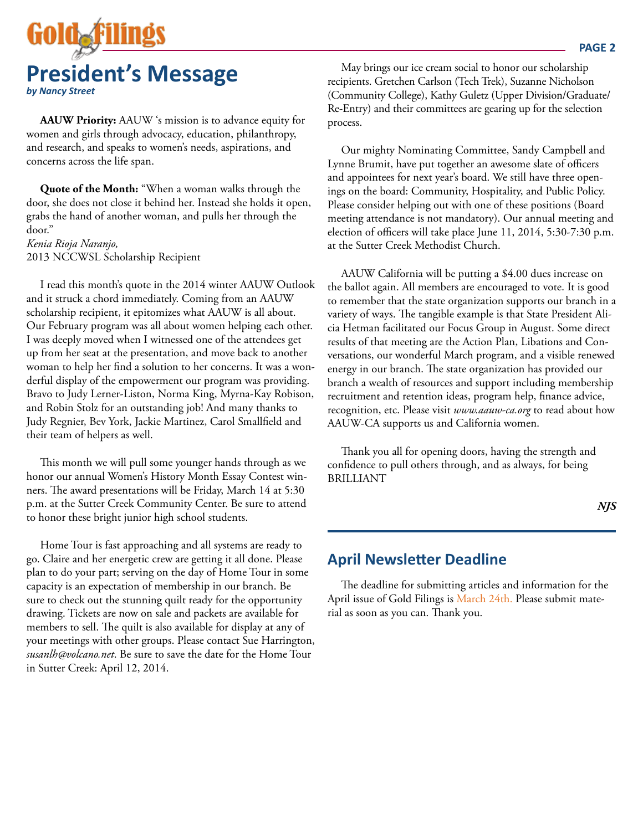

**AAUW Priority:** AAUW 's mission is to advance equity for women and girls through advocacy, education, philanthropy, and research, and speaks to women's needs, aspirations, and concerns across the life span.

**Quote of the Month:** "When a woman walks through the door, she does not close it behind her. Instead she holds it open, grabs the hand of another woman, and pulls her through the door."

*Kenia Rioja Naranjo,* 2013 NCCWSL Scholarship Recipient

I read this month's quote in the 2014 winter AAUW Outlook and it struck a chord immediately. Coming from an AAUW scholarship recipient, it epitomizes what AAUW is all about. Our February program was all about women helping each other. I was deeply moved when I witnessed one of the attendees get up from her seat at the presentation, and move back to another woman to help her find a solution to her concerns. It was a wonderful display of the empowerment our program was providing. Bravo to Judy Lerner-Liston, Norma King, Myrna-Kay Robison, and Robin Stolz for an outstanding job! And many thanks to Judy Regnier, Bev York, Jackie Martinez, Carol Smallfield and their team of helpers as well.

This month we will pull some younger hands through as we honor our annual Women's History Month Essay Contest winners. The award presentations will be Friday, March 14 at 5:30 p.m. at the Sutter Creek Community Center. Be sure to attend to honor these bright junior high school students.

Home Tour is fast approaching and all systems are ready to go. Claire and her energetic crew are getting it all done. Please plan to do your part; serving on the day of Home Tour in some capacity is an expectation of membership in our branch. Be sure to check out the stunning quilt ready for the opportunity drawing. Tickets are now on sale and packets are available for members to sell. The quilt is also available for display at any of your meetings with other groups. Please contact Sue Harrington, *susanlh@volcano.net*. Be sure to save the date for the Home Tour in Sutter Creek: April 12, 2014.

May brings our ice cream social to honor our scholarship recipients. Gretchen Carlson (Tech Trek), Suzanne Nicholson (Community College), Kathy Guletz (Upper Division/Graduate/ Re-Entry) and their committees are gearing up for the selection process.

Our mighty Nominating Committee, Sandy Campbell and Lynne Brumit, have put together an awesome slate of officers and appointees for next year's board. We still have three openings on the board: Community, Hospitality, and Public Policy. Please consider helping out with one of these positions (Board meeting attendance is not mandatory). Our annual meeting and election of officers will take place June 11, 2014, 5:30-7:30 p.m. at the Sutter Creek Methodist Church.

AAUW California will be putting a \$4.00 dues increase on the ballot again. All members are encouraged to vote. It is good to remember that the state organization supports our branch in a variety of ways. The tangible example is that State President Alicia Hetman facilitated our Focus Group in August. Some direct results of that meeting are the Action Plan, Libations and Conversations, our wonderful March program, and a visible renewed energy in our branch. The state organization has provided our branch a wealth of resources and support including membership recruitment and retention ideas, program help, finance advice, recognition, etc. Please visit *www.aauw-ca.org* to read about how AAUW-CA supports us and California women.

Thank you all for opening doors, having the strength and confidence to pull others through, and as always, for being BRILLIANT

#### *NJS*

### **April Newsletter Deadline**

The deadline for submitting articles and information for the April issue of Gold Filings is March 24th. Please submit material as soon as you can. Thank you.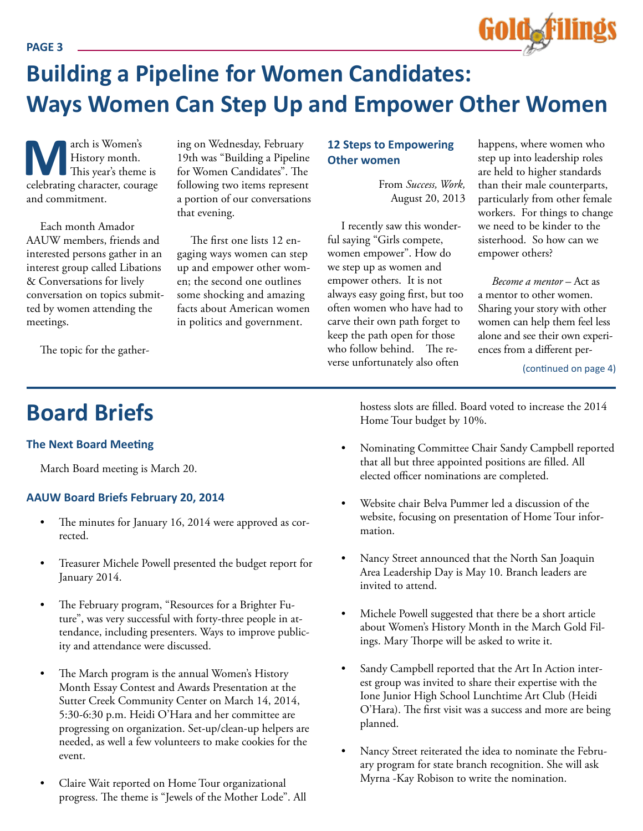## **Building a Pipeline for Women Candidates: Ways Women Can Step Up and Empower Other Women**

**M**arch is Women's<br>
This year's theme is<br>
celebrating character, courage History month. This year's theme is and commitment.

Each month Amador AAUW members, friends and interested persons gather in an interest group called Libations & Conversations for lively conversation on topics submitted by women attending the meetings.

The topic for the gather-

ing on Wednesday, February 19th was "Building a Pipeline for Women Candidates". The following two items represent a portion of our conversations that evening.

The first one lists 12 engaging ways women can step up and empower other women; the second one outlines some shocking and amazing facts about American women in politics and government.

#### **12 Steps to Empowering Other women**

From *Success, Work,* August 20, 2013

I recently saw this wonderful saying "Girls compete, women empower". How do we step up as women and empower others. It is not always easy going first, but too often women who have had to carve their own path forget to keep the path open for those who follow behind. The reverse unfortunately also often

happens, where women who step up into leadership roles are held to higher standards than their male counterparts, particularly from other female workers. For things to change we need to be kinder to the sisterhood. So how can we empower others?

*Become a mentor* – Act as a mentor to other women. Sharing your story with other women can help them feel less alone and see their own experiences from a different per-

(continued on page 4)

## **Board Briefs**

#### **The Next Board Meeting**

March Board meeting is March 20.

#### **AAUW Board Briefs February 20, 2014**

- The minutes for January 16, 2014 were approved as corrected.
- Treasurer Michele Powell presented the budget report for January 2014.
- The February program, "Resources for a Brighter Future", was very successful with forty-three people in attendance, including presenters. Ways to improve publicity and attendance were discussed.
- The March program is the annual Women's History Month Essay Contest and Awards Presentation at the Sutter Creek Community Center on March 14, 2014, 5:30-6:30 p.m. Heidi O'Hara and her committee are progressing on organization. Set-up/clean-up helpers are needed, as well a few volunteers to make cookies for the event.
- Claire Wait reported on Home Tour organizational progress. The theme is "Jewels of the Mother Lode". All

hostess slots are filled. Board voted to increase the 2014 Home Tour budget by 10%.

- Nominating Committee Chair Sandy Campbell reported that all but three appointed positions are filled. All elected officer nominations are completed.
- Website chair Belva Pummer led a discussion of the website, focusing on presentation of Home Tour information.
- Nancy Street announced that the North San Joaquin Area Leadership Day is May 10. Branch leaders are invited to attend.
- Michele Powell suggested that there be a short article about Women's History Month in the March Gold Filings. Mary Thorpe will be asked to write it.
- Sandy Campbell reported that the Art In Action interest group was invited to share their expertise with the Ione Junior High School Lunchtime Art Club (Heidi O'Hara). The first visit was a success and more are being planned.
- Nancy Street reiterated the idea to nominate the February program for state branch recognition. She will ask Myrna -Kay Robison to write the nomination.

**PAGE 3**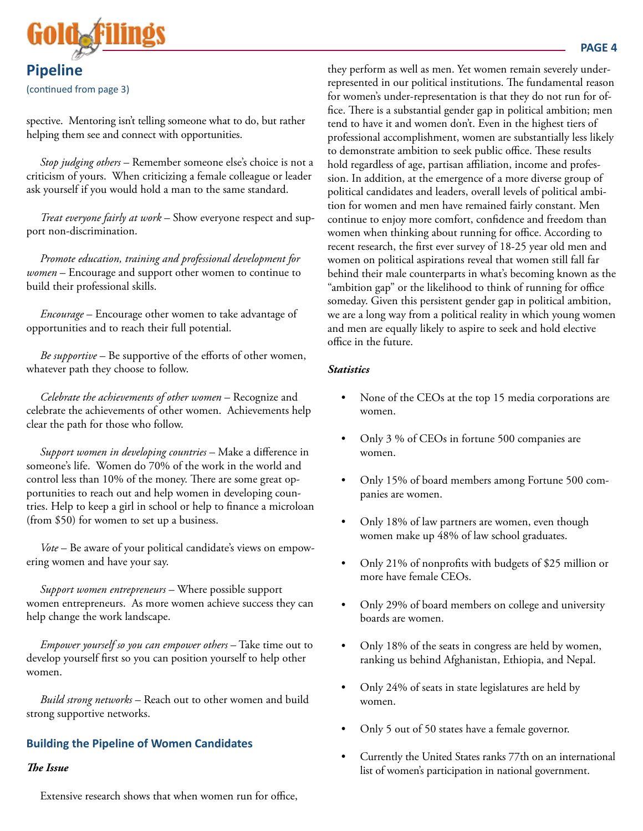

(continued from page 3)

spective. Mentoring isn't telling someone what to do, but rather helping them see and connect with opportunities.

*Stop judging others* – Remember someone else's choice is not a criticism of yours. When criticizing a female colleague or leader ask yourself if you would hold a man to the same standard.

*Treat everyone fairly at work* – Show everyone respect and support non-discrimination.

*Promote education, training and professional development for women* – Encourage and support other women to continue to build their professional skills.

*Encourage* – Encourage other women to take advantage of opportunities and to reach their full potential.

*Be supportive* – Be supportive of the efforts of other women, whatever path they choose to follow.

*Celebrate the achievements of other women* – Recognize and celebrate the achievements of other women. Achievements help clear the path for those who follow.

*Support women in developing countries* – Make a difference in someone's life. Women do 70% of the work in the world and control less than 10% of the money. There are some great opportunities to reach out and help women in developing countries. Help to keep a girl in school or help to finance a microloan (from \$50) for women to set up a business.

*Vote* – Be aware of your political candidate's views on empowering women and have your say.

*Support women entrepreneurs* – Where possible support women entrepreneurs. As more women achieve success they can help change the work landscape.

*Empower yourself so you can empower others* – Take time out to develop yourself first so you can position yourself to help other women.

*Build strong networks* – Reach out to other women and build strong supportive networks.

#### **Building the Pipeline of Women Candidates**

#### *The Issue*

Extensive research shows that when women run for office,

they perform as well as men. Yet women remain severely underrepresented in our political institutions. The fundamental reason for women's under-representation is that they do not run for office. There is a substantial gender gap in political ambition; men tend to have it and women don't. Even in the highest tiers of professional accomplishment, women are substantially less likely to demonstrate ambition to seek public office. These results hold regardless of age, partisan affiliation, income and profession. In addition, at the emergence of a more diverse group of political candidates and leaders, overall levels of political ambition for women and men have remained fairly constant. Men continue to enjoy more comfort, confidence and freedom than women when thinking about running for office. According to recent research, the first ever survey of 18-25 year old men and women on political aspirations reveal that women still fall far behind their male counterparts in what's becoming known as the "ambition gap" or the likelihood to think of running for office someday. Given this persistent gender gap in political ambition, we are a long way from a political reality in which young women and men are equally likely to aspire to seek and hold elective office in the future.

#### *Statistics*

- None of the CEOs at the top 15 media corporations are women.
- Only 3 % of CEOs in fortune 500 companies are women.
- Only 15% of board members among Fortune 500 companies are women.
- Only 18% of law partners are women, even though women make up 48% of law school graduates.
- Only 21% of nonprofits with budgets of \$25 million or more have female CEOs.
- Only 29% of board members on college and university boards are women.
- Only 18% of the seats in congress are held by women, ranking us behind Afghanistan, Ethiopia, and Nepal.
- Only 24% of seats in state legislatures are held by women.
- Only 5 out of 50 states have a female governor.
- Currently the United States ranks 77th on an international list of women's participation in national government.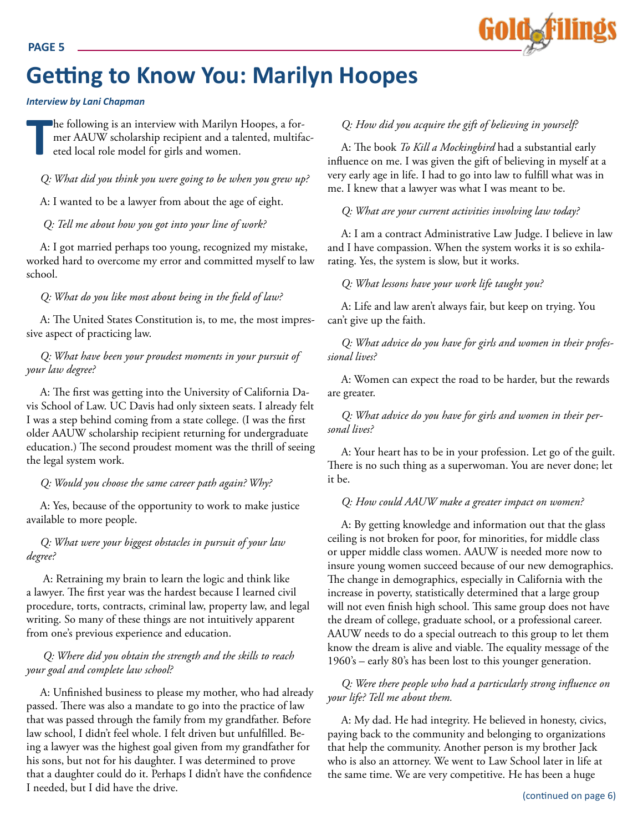

## **Getting to Know You: Marilyn Hoopes**

#### *Interview by Lani Chapman*

**T** he following is an interview with Marilyn Hoopes, a former AAUW scholarship recipient and a talented, multifaceted local role model for girls and women.

*Q: What did you think you were going to be when you grew up?*

A: I wanted to be a lawyer from about the age of eight.

*Q: Tell me about how you got into your line of work?*

A: I got married perhaps too young, recognized my mistake, worked hard to overcome my error and committed myself to law school.

*Q: What do you like most about being in the field of law?*

A: The United States Constitution is, to me, the most impressive aspect of practicing law.

#### *Q: What have been your proudest moments in your pursuit of your law degree?*

A: The first was getting into the University of California Davis School of Law. UC Davis had only sixteen seats. I already felt I was a step behind coming from a state college. (I was the first older AAUW scholarship recipient returning for undergraduate education.) The second proudest moment was the thrill of seeing the legal system work.

*Q: Would you choose the same career path again? Why?*

A: Yes, because of the opportunity to work to make justice available to more people.

#### *Q: What were your biggest obstacles in pursuit of your law degree?*

 A: Retraining my brain to learn the logic and think like a lawyer. The first year was the hardest because I learned civil procedure, torts, contracts, criminal law, property law, and legal writing. So many of these things are not intuitively apparent from one's previous experience and education.

#### *Q: Where did you obtain the strength and the skills to reach your goal and complete law school?*

A: Unfinished business to please my mother, who had already passed. There was also a mandate to go into the practice of law that was passed through the family from my grandfather. Before law school, I didn't feel whole. I felt driven but unfulfilled. Being a lawyer was the highest goal given from my grandfather for his sons, but not for his daughter. I was determined to prove that a daughter could do it. Perhaps I didn't have the confidence I needed, but I did have the drive.

#### *Q: How did you acquire the gift of believing in yourself?*

A: The book *To Kill a Mockingbird* had a substantial early influence on me. I was given the gift of believing in myself at a very early age in life. I had to go into law to fulfill what was in me. I knew that a lawyer was what I was meant to be.

*Q: What are your current activities involving law today?*

A: I am a contract Administrative Law Judge. I believe in law and I have compassion. When the system works it is so exhilarating. Yes, the system is slow, but it works.

*Q: What lessons have your work life taught you?*

A: Life and law aren't always fair, but keep on trying. You can't give up the faith.

*Q: What advice do you have for girls and women in their professional lives?*

A: Women can expect the road to be harder, but the rewards are greater.

*Q: What advice do you have for girls and women in their personal lives?*

A: Your heart has to be in your profession. Let go of the guilt. There is no such thing as a superwoman. You are never done; let it be.

*Q: How could AAUW make a greater impact on women?*

A: By getting knowledge and information out that the glass ceiling is not broken for poor, for minorities, for middle class or upper middle class women. AAUW is needed more now to insure young women succeed because of our new demographics. The change in demographics, especially in California with the increase in poverty, statistically determined that a large group will not even finish high school. This same group does not have the dream of college, graduate school, or a professional career. AAUW needs to do a special outreach to this group to let them know the dream is alive and viable. The equality message of the 1960's – early 80's has been lost to this younger generation.

*Q: Were there people who had a particularly strong influence on your life? Tell me about them.*

A: My dad. He had integrity. He believed in honesty, civics, paying back to the community and belonging to organizations that help the community. Another person is my brother Jack who is also an attorney. We went to Law School later in life at the same time. We are very competitive. He has been a huge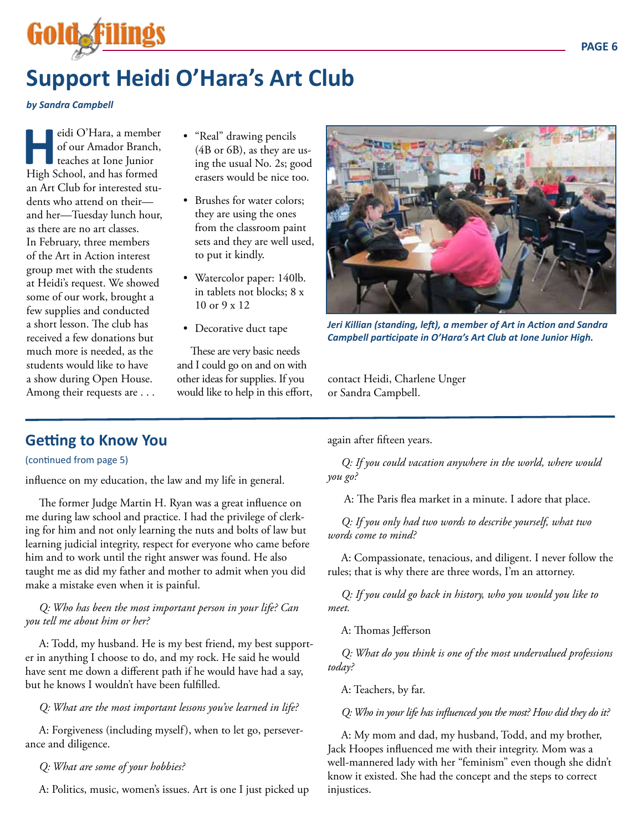## **Support Heidi O'Hara's Art Club**

#### *by Sandra Campbell*

Gold

eidi O'Hara, a member<br>
of our Amador Branch,<br>
teaches at Ione Junior<br>
High School, and has formed of our Amador Branch, teaches at Ione Junior an Art Club for interested students who attend on their and her—Tuesday lunch hour, as there are no art classes. In February, three members of the Art in Action interest group met with the students at Heidi's request. We showed some of our work, brought a few supplies and conducted a short lesson. The club has received a few donations but much more is needed, as the students would like to have a show during Open House. Among their requests are . . .

- "Real" drawing pencils (4B or 6B), as they are using the usual No. 2s; good erasers would be nice too.
- Brushes for water colors; they are using the ones from the classroom paint sets and they are well used, to put it kindly.
- Watercolor paper: 140lb. in tablets not blocks; 8 x 10 or 9 x 12
- Decorative duct tape

These are very basic needs and I could go on and on with other ideas for supplies. If you would like to help in this effort,



*Jeri Killian (standing, left), a member of Art in Action and Sandra Campbell participate in O'Hara's Art Club at Ione Junior High.*

contact Heidi, Charlene Unger or Sandra Campbell.

## **Getting to Know You**

#### (continued from page 5)

influence on my education, the law and my life in general.

The former Judge Martin H. Ryan was a great influence on me during law school and practice. I had the privilege of clerking for him and not only learning the nuts and bolts of law but learning judicial integrity, respect for everyone who came before him and to work until the right answer was found. He also taught me as did my father and mother to admit when you did make a mistake even when it is painful.

#### *Q: Who has been the most important person in your life? Can you tell me about him or her?*

A: Todd, my husband. He is my best friend, my best supporter in anything I choose to do, and my rock. He said he would have sent me down a different path if he would have had a say, but he knows I wouldn't have been fulfilled.

#### *Q: What are the most important lessons you've learned in life?*

A: Forgiveness (including myself), when to let go, perseverance and diligence.

#### *Q: What are some of your hobbies?*

A: Politics, music, women's issues. Art is one I just picked up

again after fifteen years.

*Q: If you could vacation anywhere in the world, where would you go?*

A: The Paris flea market in a minute. I adore that place.

*Q: If you only had two words to describe yourself, what two words come to mind?*

A: Compassionate, tenacious, and diligent. I never follow the rules; that is why there are three words, I'm an attorney.

*Q: If you could go back in history, who you would you like to meet.*

A: Thomas Jefferson

*Q: What do you think is one of the most undervalued professions today?*

A: Teachers, by far.

*Q: Who in your life has influenced you the most? How did they do it?*

A: My mom and dad, my husband, Todd, and my brother, Jack Hoopes influenced me with their integrity. Mom was a well-mannered lady with her "feminism" even though she didn't know it existed. She had the concept and the steps to correct injustices.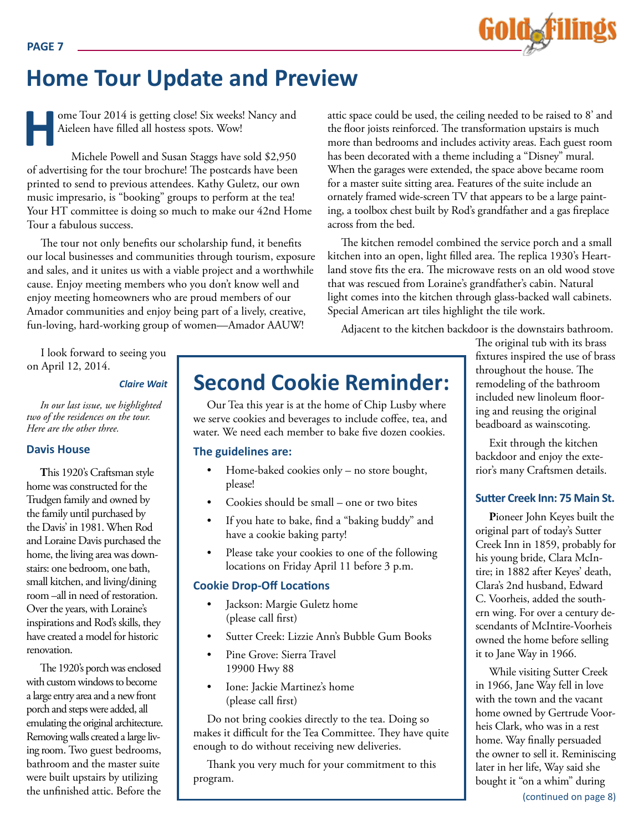

## **Home Tour Update and Preview**

ome Tour 2014 is getting close! Six weeks! Nancy and Aieleen have filled all hostess spots. Wow!

Michele Powell and Susan Staggs have sold \$2,950 of advertising for the tour brochure! The postcards have been printed to send to previous attendees. Kathy Guletz, our own music impresario, is "booking" groups to perform at the tea! Your HT committee is doing so much to make our 42nd Home Tour a fabulous success.

The tour not only benefits our scholarship fund, it benefits our local businesses and communities through tourism, exposure and sales, and it unites us with a viable project and a worthwhile cause. Enjoy meeting members who you don't know well and enjoy meeting homeowners who are proud members of our Amador communities and enjoy being part of a lively, creative, fun-loving, hard-working group of women—Amador AAUW!

I look forward to seeing you on April 12, 2014.

#### *Claire Wait*

*In our last issue, we highlighted two of the residences on the tour. Here are the other three.*

#### **Davis House**

**PAGE 7**

**T**his 1920's Craftsman style home was constructed for the Trudgen family and owned by the family until purchased by the Davis' in 1981. When Rod and Loraine Davis purchased the home, the living area was downstairs: one bedroom, one bath, small kitchen, and living/dining room –all in need of restoration. Over the years, with Loraine's inspirations and Rod's skills, they have created a model for historic renovation.

The 1920's porch was enclosed with custom windows to become a large entry area and a new front porch and steps were added, all emulating the original architecture. Removing walls created a large living room. Two guest bedrooms, bathroom and the master suite were built upstairs by utilizing the unfinished attic. Before the

attic space could be used, the ceiling needed to be raised to 8' and the floor joists reinforced. The transformation upstairs is much more than bedrooms and includes activity areas. Each guest room has been decorated with a theme including a "Disney" mural. When the garages were extended, the space above became room for a master suite sitting area. Features of the suite include an ornately framed wide-screen TV that appears to be a large painting, a toolbox chest built by Rod's grandfather and a gas fireplace across from the bed.

The kitchen remodel combined the service porch and a small kitchen into an open, light filled area. The replica 1930's Heartland stove fits the era. The microwave rests on an old wood stove that was rescued from Loraine's grandfather's cabin. Natural light comes into the kitchen through glass-backed wall cabinets. Special American art tiles highlight the tile work.

Adjacent to the kitchen backdoor is the downstairs bathroom.

## **Second Cookie Reminder:**

Our Tea this year is at the home of Chip Lusby where we serve cookies and beverages to include coffee, tea, and water. We need each member to bake five dozen cookies.

#### **The guidelines are:**

- Home-baked cookies only  $-$  no store bought, please!
- Cookies should be small one or two bites
- If you hate to bake, find a "baking buddy" and have a cookie baking party!
- Please take your cookies to one of the following locations on Friday April 11 before 3 p.m.

#### **Cookie Drop-Off Locations**

- Jackson: Margie Guletz home (please call first)
- Sutter Creek: Lizzie Ann's Bubble Gum Books
- Pine Grove: Sierra Travel 19900 Hwy 88
- Ione: Jackie Martinez's home (please call first)

Do not bring cookies directly to the tea. Doing so makes it difficult for the Tea Committee. They have quite enough to do without receiving new deliveries.

Thank you very much for your commitment to this program.

The original tub with its brass fixtures inspired the use of brass throughout the house. The remodeling of the bathroom included new linoleum flooring and reusing the original beadboard as wainscoting.

Exit through the kitchen backdoor and enjoy the exterior's many Craftsmen details.

#### **Sutter Creek Inn: 75 Main St.**

**P**ioneer John Keyes built the original part of today's Sutter Creek Inn in 1859, probably for his young bride, Clara McIntire; in 1882 after Keyes' death, Clara's 2nd husband, Edward C. Voorheis, added the southern wing. For over a century descendants of McIntire-Voorheis owned the home before selling it to Jane Way in 1966.

While visiting Sutter Creek in 1966, Jane Way fell in love with the town and the vacant home owned by Gertrude Voorheis Clark, who was in a rest home. Way finally persuaded the owner to sell it. Reminiscing later in her life, Way said she bought it "on a whim" during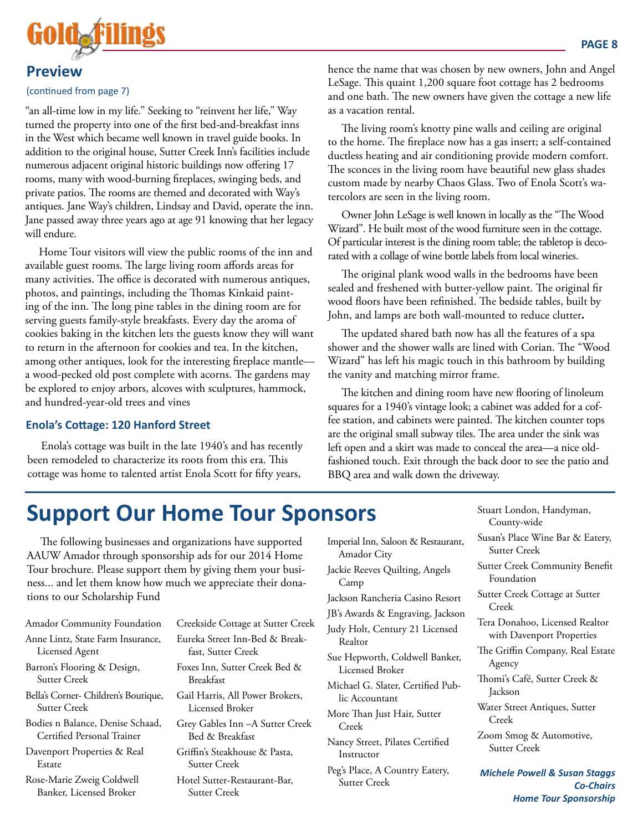

#### **Preview**

#### (continued from page 7)

"an all-time low in my life." Seeking to "reinvent her life," Way turned the property into one of the first bed-and-breakfast inns in the West which became well known in travel guide books. In addition to the original house, Sutter Creek Inn's facilities include numerous adjacent original historic buildings now offering 17 rooms, many with wood-burning fireplaces, swinging beds, and private patios. The rooms are themed and decorated with Way's antiques. Jane Way's children, Lindsay and David, operate the inn. Jane passed away three years ago at age 91 knowing that her legacy will endure.

Home Tour visitors will view the public rooms of the inn and available guest rooms. The large living room affords areas for many activities. The office is decorated with numerous antiques, photos, and paintings, including the Thomas Kinkaid painting of the inn. The long pine tables in the dining room are for serving guests family-style breakfasts. Every day the aroma of cookies baking in the kitchen lets the guests know they will want to return in the afternoon for cookies and tea. In the kitchen, among other antiques, look for the interesting fireplace mantle a wood-pecked old post complete with acorns. The gardens may be explored to enjoy arbors, alcoves with sculptures, hammock, and hundred-year-old trees and vines

#### **Enola's Cottage: 120 Hanford Street**

Enola's cottage was built in the late 1940's and has recently been remodeled to characterize its roots from this era. This cottage was home to talented artist Enola Scott for fifty years,

hence the name that was chosen by new owners, John and Angel LeSage. This quaint 1,200 square foot cottage has 2 bedrooms and one bath. The new owners have given the cottage a new life as a vacation rental.

The living room's knotty pine walls and ceiling are original to the home. The fireplace now has a gas insert; a self-contained ductless heating and air conditioning provide modern comfort. The sconces in the living room have beautiful new glass shades custom made by nearby Chaos Glass. Two of Enola Scott's watercolors are seen in the living room.

Owner John LeSage is well known in locally as the "The Wood Wizard". He built most of the wood furniture seen in the cottage. Of particular interest is the dining room table; the tabletop is decorated with a collage of wine bottle labels from local wineries.

The original plank wood walls in the bedrooms have been sealed and freshened with butter-yellow paint. The original fir wood floors have been refinished. The bedside tables, built by John, and lamps are both wall-mounted to reduce clutter**.** 

The updated shared bath now has all the features of a spa shower and the shower walls are lined with Corian. The "Wood Wizard" has left his magic touch in this bathroom by building the vanity and matching mirror frame.

The kitchen and dining room have new flooring of linoleum squares for a 1940's vintage look; a cabinet was added for a coffee station, and cabinets were painted. The kitchen counter tops are the original small subway tiles. The area under the sink was left open and a skirt was made to conceal the area—a nice oldfashioned touch. Exit through the back door to see the patio and BBQ area and walk down the driveway.

## **Support Our Home Tour Sponsors**

The following businesses and organizations have supported AAUW Amador through sponsorship ads for our 2014 Home Tour brochure. Please support them by giving them your business... and let them know how much we appreciate their donations to our Scholarship Fund

Amador Community Foundation

- Anne Lintz, State Farm Insurance, Licensed Agent
- Barron's Flooring & Design, Sutter Creek
- Bella's Corner- Children's Boutique, Sutter Creek
- Bodies n Balance, Denise Schaad, Certified Personal Trainer
- Davenport Properties & Real Estate

Rose-Marie Zweig Coldwell Banker, Licensed Broker

Creekside Cottage at Sutter Creek Eureka Street Inn-Bed & Breakfast, Sutter Creek

- Foxes Inn, Sutter Creek Bed & Breakfast
- Gail Harris, All Power Brokers, Licensed Broker

Grey Gables Inn –A Sutter Creek Bed & Breakfast

Griffin's Steakhouse & Pasta, Sutter Creek

Hotel Sutter-Restaurant-Bar, Sutter Creek

Imperial Inn, Saloon & Restaurant, Amador City Jackie Reeves Quilting, Angels Camp Jackson Rancheria Casino Resort JB's Awards & Engraving, Jackson Judy Holt, Century 21 Licensed Realtor Sue Hepworth, Coldwell Banker, Licensed Broker

Michael G. Slater, Certified Public Accountant

More Than Just Hair, Sutter Creek

Nancy Street, Pilates Certified Instructor

Peg's Place, A Country Eatery, Sutter Creek

- Stuart London, Handyman, County-wide
- Susan's Place Wine Bar & Eatery, Sutter Creek
- Sutter Creek Community Benefit Foundation

Sutter Creek Cottage at Sutter Creek

- Tera Donahoo, Licensed Realtor with Davenport Properties
- The Griffin Company, Real Estate Agency
- Thomi's Café, Sutter Creek & Jackson
- Water Street Antiques, Sutter Creek

Zoom Smog & Automotive, Sutter Creek

*Michele Powell & Susan Staggs Co-Chairs Home Tour Sponsorship*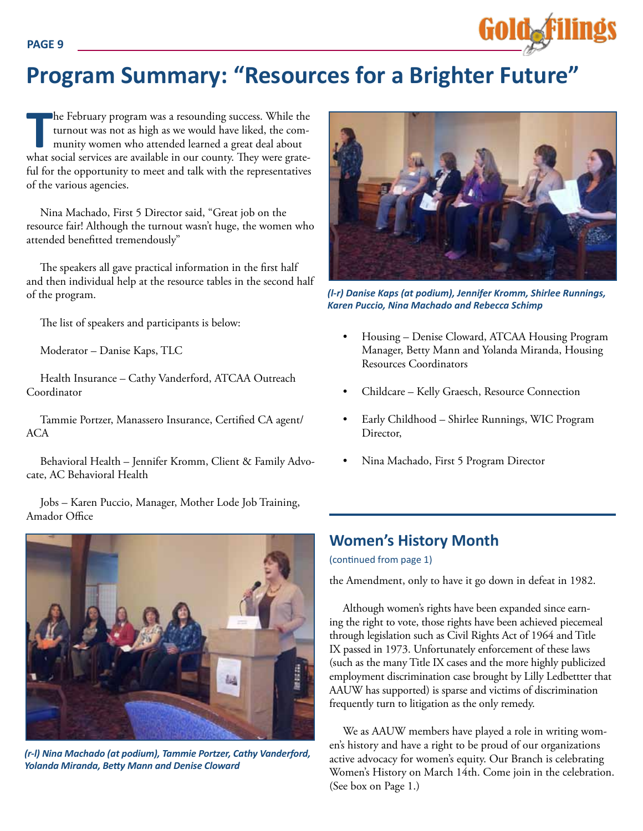## **Program Summary: "Resources for a Brighter Future"**

The February program was a resounding success. While the turnout was not as high as we would have liked, the community women who attended learned a great deal about what social services are available in our county. They we he February program was a resounding success. While the turnout was not as high as we would have liked, the community women who attended learned a great deal about ful for the opportunity to meet and talk with the representatives of the various agencies.

Nina Machado, First 5 Director said, "Great job on the resource fair! Although the turnout wasn't huge, the women who attended benefitted tremendously"

The speakers all gave practical information in the first half and then individual help at the resource tables in the second half of the program.

The list of speakers and participants is below:

Moderator – Danise Kaps, TLC

Health Insurance – Cathy Vanderford, ATCAA Outreach Coordinator

Tammie Portzer, Manassero Insurance, Certified CA agent/ ACA

Behavioral Health – Jennifer Kromm, Client & Family Advocate, AC Behavioral Health

Jobs – Karen Puccio, Manager, Mother Lode Job Training, Amador Office



*(r-l) Nina Machado (at podium), Tammie Portzer, Cathy Vanderford, Yolanda Miranda, Betty Mann and Denise Cloward*



Gold**afiling**s

*(l-r) Danise Kaps (at podium), Jennifer Kromm, Shirlee Runnings, Karen Puccio, Nina Machado and Rebecca Schimp*

- Housing Denise Cloward, ATCAA Housing Program Manager, Betty Mann and Yolanda Miranda, Housing Resources Coordinators
- Childcare Kelly Graesch, Resource Connection
- Early Childhood Shirlee Runnings, WIC Program Director,
- Nina Machado, First 5 Program Director

## **Women's History Month**

(continued from page 1)

the Amendment, only to have it go down in defeat in 1982.

Although women's rights have been expanded since earning the right to vote, those rights have been achieved piecemeal through legislation such as Civil Rights Act of 1964 and Title IX passed in 1973. Unfortunately enforcement of these laws (such as the many Title IX cases and the more highly publicized employment discrimination case brought by Lilly Ledbettter that AAUW has supported) is sparse and victims of discrimination frequently turn to litigation as the only remedy.

We as AAUW members have played a role in writing women's history and have a right to be proud of our organizations active advocacy for women's equity. Our Branch is celebrating Women's History on March 14th. Come join in the celebration. (See box on Page 1.)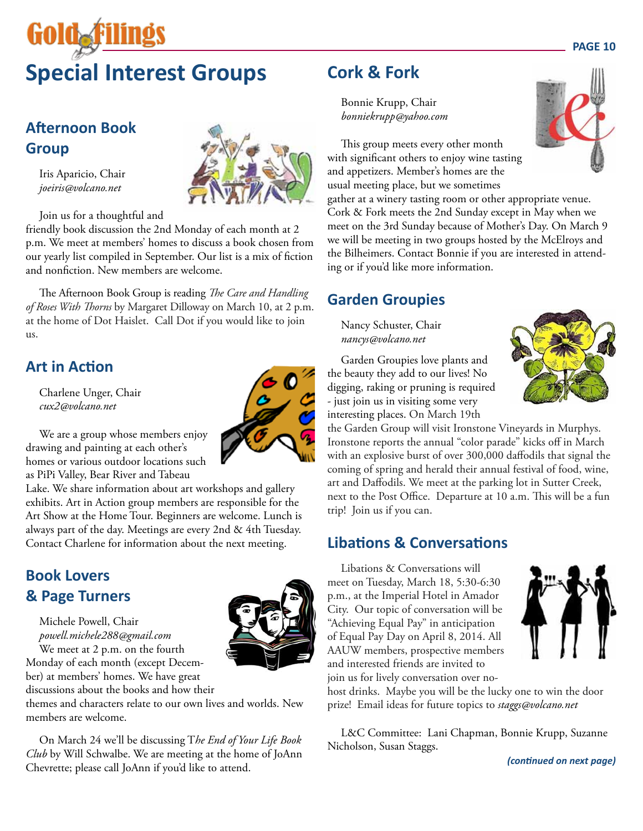# **GOIOAR Special Interest Groups**

## **Afternoon Book Group**

Iris Aparicio, Chair *joeiris@volcano.net*

Join us for a thoughtful and

friendly book discussion the 2nd Monday of each month at 2 p.m. We meet at members' homes to discuss a book chosen from our yearly list compiled in September. Our list is a mix of fiction and nonfiction. New members are welcome.

The Afternoon Book Group is reading *The Care and Handling of Roses With Thorns* by Margaret Dilloway on March 10, at 2 p.m. at the home of Dot Haislet. Call Dot if you would like to join us.

## **Art in Action**

Charlene Unger, Chair *cux2@volcano.net*



We are a group whose members enjoy drawing and painting at each other's homes or various outdoor locations such as PiPi Valley, Bear River and Tabeau

Lake. We share information about art workshops and gallery exhibits. Art in Action group members are responsible for the Art Show at the Home Tour. Beginners are welcome. Lunch is always part of the day. Meetings are every 2nd & 4th Tuesday. Contact Charlene for information about the next meeting.

### **Book Lovers & Page Turners**

Michele Powell, Chair *powell.michele288@gmail.com* We meet at 2 p.m. on the fourth Monday of each month (except Decem-

ber) at members' homes. We have great discussions about the books and how their themes and characters relate to our own lives and worlds. New

members are welcome.

On March 24 we'll be discussing T*he End of Your Life Book Club* by Will Schwalbe. We are meeting at the home of JoAnn Chevrette; please call JoAnn if you'd like to attend.

## **Cork & Fork**

Bonnie Krupp, Chair *bonniekrupp@yahoo.com*

This group meets every other month with significant others to enjoy wine tasting and appetizers. Member's homes are the usual meeting place, but we sometimes

gather at a winery tasting room or other appropriate venue. Cork & Fork meets the 2nd Sunday except in May when we meet on the 3rd Sunday because of Mother's Day. On March 9 we will be meeting in two groups hosted by the McElroys and the Bilheimers. Contact Bonnie if you are interested in attending or if you'd like more information.

## **Garden Groupies**

Nancy Schuster, Chair *nancys@volcano.net*



Garden Groupies love plants and the beauty they add to our lives! No digging, raking or pruning is required - just join us in visiting some very interesting places. On March 19th

the Garden Group will visit Ironstone Vineyards in Murphys. Ironstone reports the annual "color parade" kicks off in March with an explosive burst of over 300,000 daffodils that signal the coming of spring and herald their annual festival of food, wine, art and Daffodils. We meet at the parking lot in Sutter Creek, next to the Post Office. Departure at 10 a.m. This will be a fun trip! Join us if you can.

### **Libations & Conversations**

Libations & Conversations will meet on Tuesday, March 18, 5:30-6:30 p.m., at the Imperial Hotel in Amador City. Our topic of conversation will be "Achieving Equal Pay" in anticipation of Equal Pay Day on April 8, 2014. All AAUW members, prospective members and interested friends are invited to join us for lively conversation over no-



host drinks. Maybe you will be the lucky one to win the door prize! Email ideas for future topics to *staggs@volcano.net*

L&C Committee: Lani Chapman, Bonnie Krupp, Suzanne Nicholson, Susan Staggs.

*(continued on next page)*